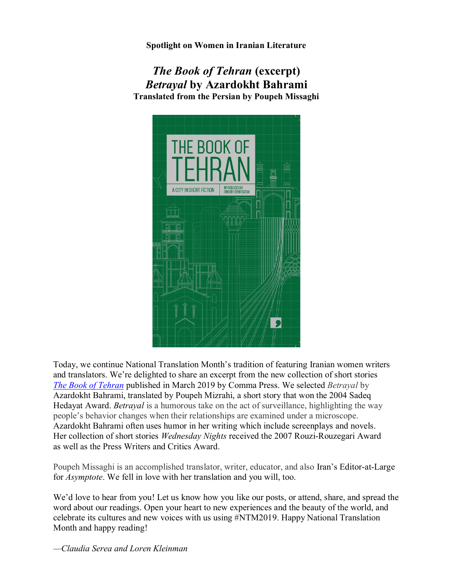**Spotlight on Women in Iranian Literature**

# *The Book of Tehran* **(excerpt)** *Betrayal* **by Azardokht Bahrami Translated from the Persian by Poupeh Missaghi**



Today, we continue National Translation Month's tradition of featuring Iranian women writers and translators. We're delighted to share an excerpt from the new collection of short stories *[The Book of Tehran](https://commapress.co.uk/books/the-book-of-tehran/)* published in March 2019 by Comma Press. We selected *Betrayal* by Azardokht Bahrami, translated by Poupeh Mizrahi, a short story that won the 2004 Sadeq Hedayat Award. *Betrayal* is a humorous take on the act of surveillance, highlighting the way people's behavior changes when their relationships are examined under a microscope. Azardokht Bahrami often uses humor in her writing which include screenplays and novels. Her collection of short stories *Wednesday Nights* received the 2007 Rouzi-Rouzegari Award as well as the Press Writers and Critics Award.

Poupeh Missaghi is an accomplished translator, writer, educator, and also Iran's Editor-at-Large for *Asymptote*. We fell in love with her translation and you will, too.

We'd love to hear from you! Let us know how you like our posts, or attend, share, and spread the word about our readings. Open your heart to new experiences and the beauty of the world, and celebrate its cultures and new voices with us using #NTM2019. Happy National Translation Month and happy reading!

*—Claudia Serea and Loren Kleinman*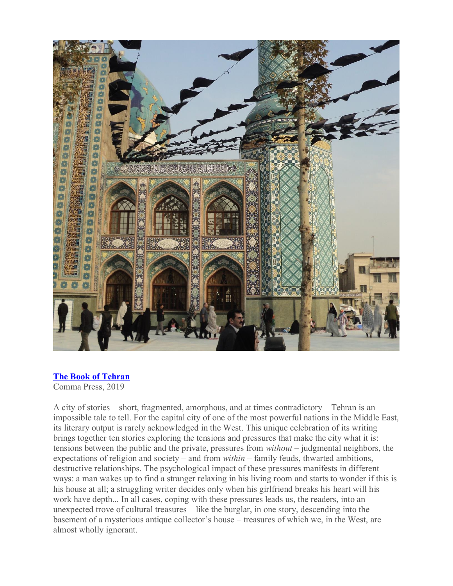

## **[The Book of Tehran](https://commapress.co.uk/books/the-book-of-tehran/)**

Comma Press, 2019

A city of stories – short, fragmented, amorphous, and at times contradictory – Tehran is an impossible tale to tell. For the capital city of one of the most powerful nations in the Middle East, its literary output is rarely acknowledged in the West. This unique celebration of its writing brings together ten stories exploring the tensions and pressures that make the city what it is: tensions between the public and the private, pressures from *without* – judgmental neighbors, the expectations of religion and society – and from *within* – family feuds, thwarted ambitions, destructive relationships. The psychological impact of these pressures manifests in different ways: a man wakes up to find a stranger relaxing in his living room and starts to wonder if this is his house at all; a struggling writer decides only when his girlfriend breaks his heart will his work have depth... In all cases, coping with these pressures leads us, the readers, into an unexpected trove of cultural treasures – like the burglar, in one story, descending into the basement of a mysterious antique collector's house – treasures of which we, in the West, are almost wholly ignorant.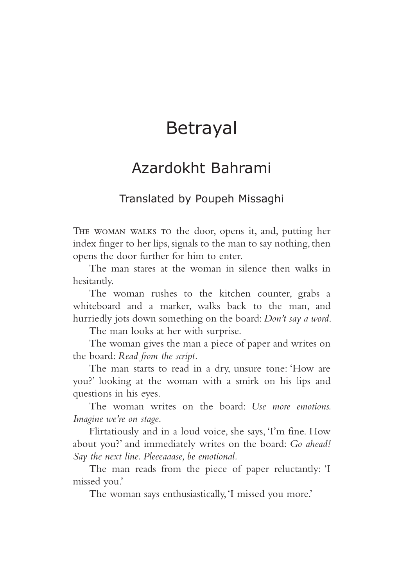# Betrayal

## Azardokht Bahrami

#### Translated by Poupeh Missaghi

The woman walks to the door, opens it, and, putting her index finger to her lips, signals to the man to say nothing, then opens the door further for him to enter.

The man stares at the woman in silence then walks in hesitantly.

The woman rushes to the kitchen counter, grabs a whiteboard and a marker, walks back to the man, and hurriedly jots down something on the board: *Don't say a word*.

The man looks at her with surprise.

The woman gives the man a piece of paper and writes on the board: *Read from the script.*

The man starts to read in a dry, unsure tone: 'How are you?' looking at the woman with a smirk on his lips and questions in his eyes.

The woman writes on the board: *Use more emotions. Imagine we're on stage*.

Flirtatiously and in a loud voice, she says, 'I'm fine. How about you?' and immediately writes on the board: *Go ahead! Say the next line. Pleeeaaase, be emotional.*

The man reads from the piece of paper reluctantly: 'I missed you.'

The woman says enthusiastically, 'I missed you more.'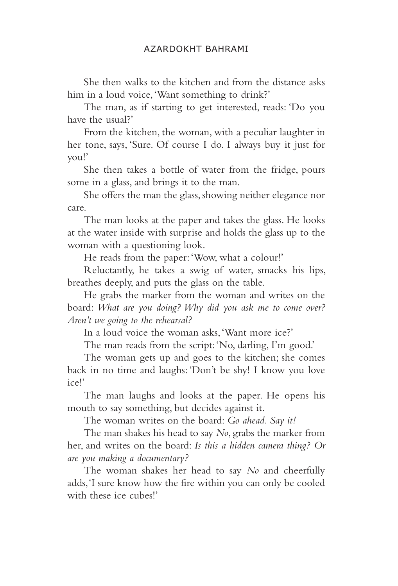She then walks to the kitchen and from the distance asks him in a loud voice, 'Want something to drink?'

The man, as if starting to get interested, reads: 'Do you have the usual?'

From the kitchen, the woman, with a peculiar laughter in her tone, says, 'Sure. Of course I do. I always buy it just for you!'

She then takes a bottle of water from the fridge, pours some in a glass, and brings it to the man.

She offers the man the glass, showing neither elegance nor care.

The man looks at the paper and takes the glass. He looks at the water inside with surprise and holds the glass up to the woman with a questioning look.

He reads from the paper: 'Wow, what a colour!'

Reluctantly, he takes a swig of water, smacks his lips, breathes deeply, and puts the glass on the table.

He grabs the marker from the woman and writes on the board: *What are you doing? Why did you ask me to come over? Aren't we going to the rehearsal?*

In a loud voice the woman asks, 'Want more ice?'

The man reads from the script: 'No, darling, I'm good.'

The woman gets up and goes to the kitchen; she comes back in no time and laughs: 'Don't be shy! I know you love ice!'

The man laughs and looks at the paper. He opens his mouth to say something, but decides against it.

The woman writes on the board: *Go ahead. Say it!*

The man shakes his head to say *No*, grabs the marker from her, and writes on the board: *Is this a hidden camera thing? Or are you making a documentary?*

The woman shakes her head to say *No* and cheerfully adds, 'I sure know how the fire within you can only be cooled with these ice cubes!'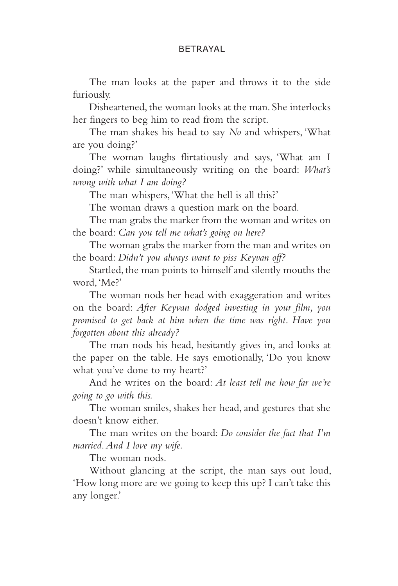#### **BETRAYAL**

The man looks at the paper and throws it to the side furiously.

Disheartened, the woman looks at the man. She interlocks her fingers to beg him to read from the script.

The man shakes his head to say *No* and whispers, 'What are you doing?'

The woman laughs flirtatiously and says, 'What am I doing?' while simultaneously writing on the board: *What's wrong with what I am doing?*

The man whispers, 'What the hell is all this?'

The woman draws a question mark on the board.

The man grabs the marker from the woman and writes on the board: *Can you tell me what's going on here?*

The woman grabs the marker from the man and writes on the board: *Didn't you always want to piss Keyvan off?* 

Startled, the man points to himself and silently mouths the word, 'Me?'

The woman nods her head with exaggeration and writes on the board: *After Keyvan dodged investing in your film, you promised to get back at him when the time was right. Have you forgotten about this already?*

The man nods his head, hesitantly gives in, and looks at the paper on the table. He says emotionally, 'Do you know what you've done to my heart?'

And he writes on the board: *At least tell me how far we're going to go with this.*

The woman smiles, shakes her head, and gestures that she doesn't know either.

The man writes on the board: *Do consider the fact that I'm married. And I love my wife.*

The woman nods.

Without glancing at the script, the man says out loud, 'How long more are we going to keep this up? I can't take this any longer.'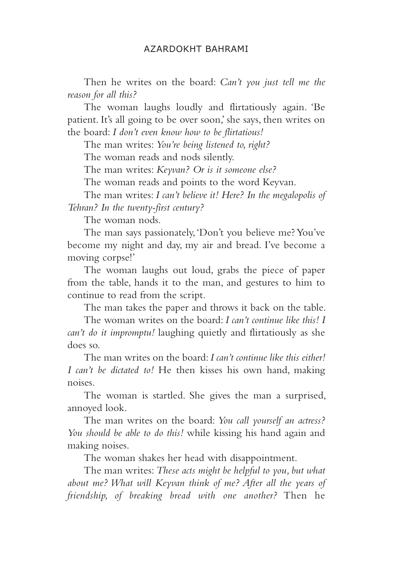Then he writes on the board: *Can't you just tell me the reason for all this?*

The woman laughs loudly and flirtatiously again. 'Be patient. It's all going to be over soon,' she says, then writes on the board: *I don't even know how to be flirtatious!*

The man writes: *You're being listened to, right?*

The woman reads and nods silently.

The man writes: *Keyvan? Or is it someone else?*

The woman reads and points to the word Keyvan.

The man writes: *I can't believe it! Here? In the megalopolis of Tehran? In the twenty-first century?*

The woman nods.

The man says passionately, 'Don't you believe me? You've become my night and day, my air and bread. I've become a moving corpse!'

The woman laughs out loud, grabs the piece of paper from the table, hands it to the man, and gestures to him to continue to read from the script.

The man takes the paper and throws it back on the table.

The woman writes on the board: *I can't continue like this! I can't do it impromptu!* laughing quietly and flirtatiously as she does so.

The man writes on the board: *I can't continue like this either! I can't be dictated to!* He then kisses his own hand, making noises.

The woman is startled. She gives the man a surprised, annoyed look.

The man writes on the board: *You call yourself an actress? You should be able to do this!* while kissing his hand again and making noises.

The woman shakes her head with disappointment.

The man writes: *These acts might be helpful to you, but what about me? What will Keyvan think of me? After all the years of friendship, of breaking bread with one another?* Then he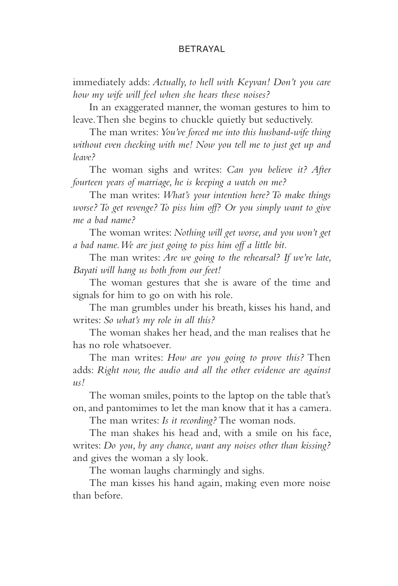#### **BETRAYAL**

immediately adds: *Actually, to hell with Keyvan! Don't you care how my wife will feel when she hears these noises?*

In an exaggerated manner, the woman gestures to him to leave. Then she begins to chuckle quietly but seductively.

The man writes: *You've forced me into this husband-wife thing without even checking with me! Now you tell me to just get up and leave?*

The woman sighs and writes: *Can you believe it? After fourteen years of marriage, he is keeping a watch on me?*

The man writes: *What's your intention here? To make things worse? To get revenge? To piss him off? Or you simply want to give me a bad name?*

The woman writes: *Nothing will get worse, and you won't get a bad name. We are just going to piss him off a little bit.*

The man writes: *Are we going to the rehearsal? If we're late, Bayati will hang us both from our feet!*

The woman gestures that she is aware of the time and signals for him to go on with his role.

The man grumbles under his breath, kisses his hand, and writes: *So what's my role in all this?*

The woman shakes her head, and the man realises that he has no role whatsoever.

The man writes: *How are you going to prove this?* Then adds: *Right now, the audio and all the other evidence are against us!*

The woman smiles, points to the laptop on the table that's on, and pantomimes to let the man know that it has a camera.

The man writes: *Is it recording?* The woman nods.

The man shakes his head and, with a smile on his face, writes: *Do you, by any chance, want any noises other than kissing?*  and gives the woman a sly look.

The woman laughs charmingly and sighs.

The man kisses his hand again, making even more noise than before.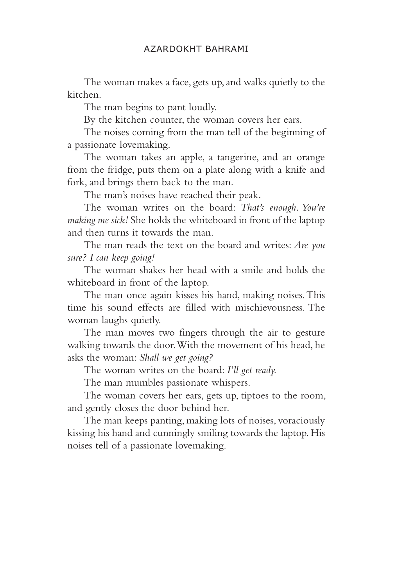The woman makes a face, gets up, and walks quietly to the kitchen.

The man begins to pant loudly.

By the kitchen counter, the woman covers her ears.

The noises coming from the man tell of the beginning of a passionate lovemaking.

The woman takes an apple, a tangerine, and an orange from the fridge, puts them on a plate along with a knife and fork, and brings them back to the man.

The man's noises have reached their peak.

The woman writes on the board: *That's enough. You're making me sick!* She holds the whiteboard in front of the laptop and then turns it towards the man.

The man reads the text on the board and writes: *Are you sure? I can keep going!* 

The woman shakes her head with a smile and holds the whiteboard in front of the laptop.

The man once again kisses his hand, making noises. This time his sound effects are filled with mischievousness. The woman laughs quietly.

The man moves two fingers through the air to gesture walking towards the door. With the movement of his head, he asks the woman: *Shall we get going?*

The woman writes on the board: *I'll get ready.*

The man mumbles passionate whispers.

The woman covers her ears, gets up, tiptoes to the room, and gently closes the door behind her.

The man keeps panting, making lots of noises, voraciously kissing his hand and cunningly smiling towards the laptop. His noises tell of a passionate lovemaking.